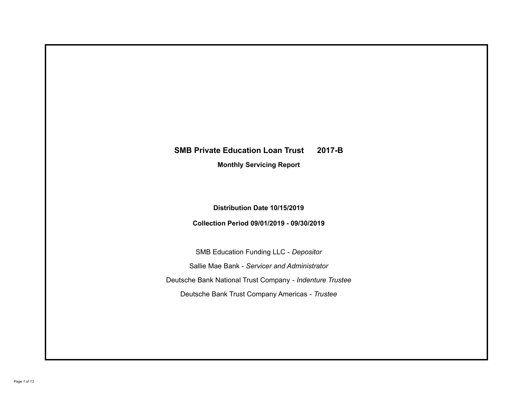# **SMB Private Education Loan Trust 2017-B**

**Monthly Servicing Report**

**Distribution Date 10/15/2019**

**Collection Period 09/01/2019 - 09/30/2019**

SMB Education Funding LLC - *Depositor* Sallie Mae Bank - *Servicer and Administrator* Deutsche Bank National Trust Company - *Indenture Trustee* Deutsche Bank Trust Company Americas - *Trustee*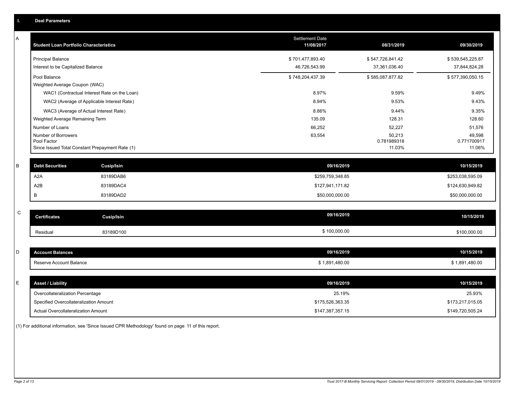| A<br>Settlement Date<br><b>Student Loan Portfolio Characteristics</b><br>11/08/2017<br>08/31/2019<br><b>Principal Balance</b><br>\$701,477,893.40<br>\$547,726,841.42<br>Interest to be Capitalized Balance<br>46,726,543.99<br>37,361,036.40<br>Pool Balance<br>\$748,204,437.39<br>\$585,087,877.82<br>Weighted Average Coupon (WAC)<br>WAC1 (Contractual Interest Rate on the Loan)<br>8.97%<br>9.59%<br>WAC2 (Average of Applicable Interest Rate)<br>8.94%<br>9.53%<br>WAC3 (Average of Actual Interest Rate)<br>8.86%<br>9.44%<br>135.09<br>128.31<br>Weighted Average Remaining Term<br>Number of Loans<br>66,252<br>52,227<br>Number of Borrowers<br>63,554<br>50,213<br>Pool Factor<br>0.781989318<br>Since Issued Total Constant Prepayment Rate (1)<br>11.03%<br>B<br><b>Debt Securities</b><br><b>Cusip/Isin</b><br>09/16/2019<br>A2A<br>83189DAB6<br>\$259,759,348.85<br>A2B<br>83189DAC4<br>\$127,941,171.82<br>В<br>83189DAD2<br>\$50,000,000.00<br>C<br>09/16/2019<br><b>Certificates</b><br><b>Cusip/Isin</b><br>\$100,000.00<br>Residual<br>83189D100<br>D<br>09/16/2019<br><b>Account Balances</b><br>10/15/2019<br>Reserve Account Balance<br>\$1,891,480.00<br>\$1,891,480.00<br>E<br>09/16/2019<br><b>Asset / Liability</b><br>Overcollateralization Percentage<br>25.19%<br>Specified Overcollateralization Amount<br>\$175,526,363.35 | ۱. | <b>Deal Parameters</b> |  |                                           |
|---------------------------------------------------------------------------------------------------------------------------------------------------------------------------------------------------------------------------------------------------------------------------------------------------------------------------------------------------------------------------------------------------------------------------------------------------------------------------------------------------------------------------------------------------------------------------------------------------------------------------------------------------------------------------------------------------------------------------------------------------------------------------------------------------------------------------------------------------------------------------------------------------------------------------------------------------------------------------------------------------------------------------------------------------------------------------------------------------------------------------------------------------------------------------------------------------------------------------------------------------------------------------------------------------------------------------------------------------------------|----|------------------------|--|-------------------------------------------|
|                                                                                                                                                                                                                                                                                                                                                                                                                                                                                                                                                                                                                                                                                                                                                                                                                                                                                                                                                                                                                                                                                                                                                                                                                                                                                                                                                               |    |                        |  | 09/30/2019                                |
|                                                                                                                                                                                                                                                                                                                                                                                                                                                                                                                                                                                                                                                                                                                                                                                                                                                                                                                                                                                                                                                                                                                                                                                                                                                                                                                                                               |    |                        |  | \$539,545,225.87<br>37,844,824.28         |
|                                                                                                                                                                                                                                                                                                                                                                                                                                                                                                                                                                                                                                                                                                                                                                                                                                                                                                                                                                                                                                                                                                                                                                                                                                                                                                                                                               |    |                        |  | \$577,390,050.15                          |
|                                                                                                                                                                                                                                                                                                                                                                                                                                                                                                                                                                                                                                                                                                                                                                                                                                                                                                                                                                                                                                                                                                                                                                                                                                                                                                                                                               |    |                        |  | 9.49%<br>9.43%                            |
|                                                                                                                                                                                                                                                                                                                                                                                                                                                                                                                                                                                                                                                                                                                                                                                                                                                                                                                                                                                                                                                                                                                                                                                                                                                                                                                                                               |    |                        |  | 9.35%                                     |
|                                                                                                                                                                                                                                                                                                                                                                                                                                                                                                                                                                                                                                                                                                                                                                                                                                                                                                                                                                                                                                                                                                                                                                                                                                                                                                                                                               |    |                        |  | 128.60                                    |
|                                                                                                                                                                                                                                                                                                                                                                                                                                                                                                                                                                                                                                                                                                                                                                                                                                                                                                                                                                                                                                                                                                                                                                                                                                                                                                                                                               |    |                        |  | 51,576<br>49,598<br>0.771700917<br>11.06% |
|                                                                                                                                                                                                                                                                                                                                                                                                                                                                                                                                                                                                                                                                                                                                                                                                                                                                                                                                                                                                                                                                                                                                                                                                                                                                                                                                                               |    |                        |  | 10/15/2019                                |
|                                                                                                                                                                                                                                                                                                                                                                                                                                                                                                                                                                                                                                                                                                                                                                                                                                                                                                                                                                                                                                                                                                                                                                                                                                                                                                                                                               |    |                        |  | \$253,038,595.09                          |
|                                                                                                                                                                                                                                                                                                                                                                                                                                                                                                                                                                                                                                                                                                                                                                                                                                                                                                                                                                                                                                                                                                                                                                                                                                                                                                                                                               |    |                        |  | \$124,630,949.82                          |
|                                                                                                                                                                                                                                                                                                                                                                                                                                                                                                                                                                                                                                                                                                                                                                                                                                                                                                                                                                                                                                                                                                                                                                                                                                                                                                                                                               |    |                        |  | \$50,000,000.00                           |
|                                                                                                                                                                                                                                                                                                                                                                                                                                                                                                                                                                                                                                                                                                                                                                                                                                                                                                                                                                                                                                                                                                                                                                                                                                                                                                                                                               |    |                        |  | 10/15/2019                                |
|                                                                                                                                                                                                                                                                                                                                                                                                                                                                                                                                                                                                                                                                                                                                                                                                                                                                                                                                                                                                                                                                                                                                                                                                                                                                                                                                                               |    |                        |  | \$100,000.00                              |
|                                                                                                                                                                                                                                                                                                                                                                                                                                                                                                                                                                                                                                                                                                                                                                                                                                                                                                                                                                                                                                                                                                                                                                                                                                                                                                                                                               |    |                        |  |                                           |
|                                                                                                                                                                                                                                                                                                                                                                                                                                                                                                                                                                                                                                                                                                                                                                                                                                                                                                                                                                                                                                                                                                                                                                                                                                                                                                                                                               |    |                        |  |                                           |
|                                                                                                                                                                                                                                                                                                                                                                                                                                                                                                                                                                                                                                                                                                                                                                                                                                                                                                                                                                                                                                                                                                                                                                                                                                                                                                                                                               |    |                        |  |                                           |
|                                                                                                                                                                                                                                                                                                                                                                                                                                                                                                                                                                                                                                                                                                                                                                                                                                                                                                                                                                                                                                                                                                                                                                                                                                                                                                                                                               |    |                        |  | 10/15/2019                                |
|                                                                                                                                                                                                                                                                                                                                                                                                                                                                                                                                                                                                                                                                                                                                                                                                                                                                                                                                                                                                                                                                                                                                                                                                                                                                                                                                                               |    |                        |  | 25.93%                                    |
|                                                                                                                                                                                                                                                                                                                                                                                                                                                                                                                                                                                                                                                                                                                                                                                                                                                                                                                                                                                                                                                                                                                                                                                                                                                                                                                                                               |    |                        |  | \$173,217,015.05                          |
| Actual Overcollateralization Amount<br>\$147,387,357.15                                                                                                                                                                                                                                                                                                                                                                                                                                                                                                                                                                                                                                                                                                                                                                                                                                                                                                                                                                                                                                                                                                                                                                                                                                                                                                       |    |                        |  | \$149,720,505.24                          |

(1) For additional information, see 'Since Issued CPR Methodology' found on page 11 of this report.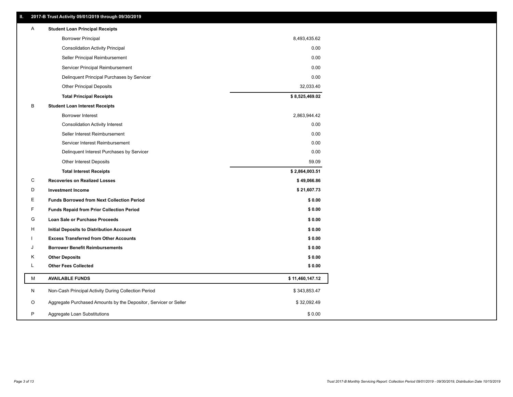| Ш  | 2017-B Trust Activity 09/01/2019 through 09/30/2019              |                 |
|----|------------------------------------------------------------------|-----------------|
| A  | <b>Student Loan Principal Receipts</b>                           |                 |
|    | <b>Borrower Principal</b>                                        | 8,493,435.62    |
|    | <b>Consolidation Activity Principal</b>                          | 0.00            |
|    | Seller Principal Reimbursement                                   | 0.00            |
|    | Servicer Principal Reimbursement                                 | 0.00            |
|    | Delinquent Principal Purchases by Servicer                       | 0.00            |
|    | <b>Other Principal Deposits</b>                                  | 32,033.40       |
|    | <b>Total Principal Receipts</b>                                  | \$8,525,469.02  |
| в  | <b>Student Loan Interest Receipts</b>                            |                 |
|    | <b>Borrower Interest</b>                                         | 2,863,944.42    |
|    | <b>Consolidation Activity Interest</b>                           | 0.00            |
|    | Seller Interest Reimbursement                                    | 0.00            |
|    | Servicer Interest Reimbursement                                  | 0.00            |
|    | Delinquent Interest Purchases by Servicer                        | 0.00            |
|    | <b>Other Interest Deposits</b>                                   | 59.09           |
|    | <b>Total Interest Receipts</b>                                   | \$2,864,003.51  |
| C  | <b>Recoveries on Realized Losses</b>                             | \$49,066.86     |
| D  | <b>Investment Income</b>                                         | \$21,607.73     |
| E. | <b>Funds Borrowed from Next Collection Period</b>                | \$0.00          |
| F  | <b>Funds Repaid from Prior Collection Period</b>                 | \$0.00          |
| G  | Loan Sale or Purchase Proceeds                                   | \$0.00          |
| H  | Initial Deposits to Distribution Account                         | \$0.00          |
|    | <b>Excess Transferred from Other Accounts</b>                    | \$0.00          |
| J  | <b>Borrower Benefit Reimbursements</b>                           | \$0.00          |
| Κ  | <b>Other Deposits</b>                                            | \$0.00          |
| Г  | <b>Other Fees Collected</b>                                      | \$0.00          |
| М  | <b>AVAILABLE FUNDS</b>                                           | \$11,460,147.12 |
| N  | Non-Cash Principal Activity During Collection Period             | \$343,853.47    |
| O  | Aggregate Purchased Amounts by the Depositor, Servicer or Seller | \$32,092.49     |
| P  | Aggregate Loan Substitutions                                     | \$0.00          |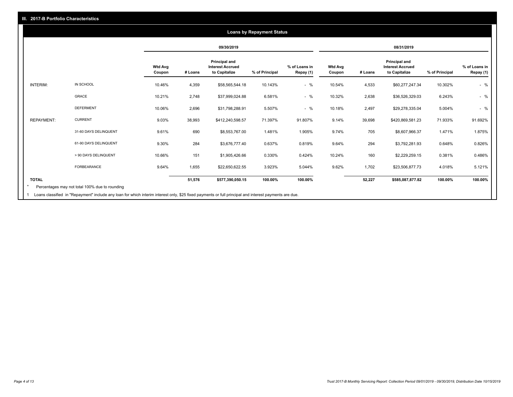## **09/30/2019 08/31/2019 Wtd Avg Coupon # Loans Principal and Interest Accrued to Capitalize % of Principal % of Loans in Repay (1) Wtd Avg Coupon # Loans Principal and Interest Accrued to Capitalize % of Principal % of Loans in Repay (1)**  INTERIM: IN SCHOOL 10.46% 4,359 \$58,565,544.18 10.143% - % 10.54% 4,533 \$60,277,247.34 10.302% - % GRACE 10.21% 2,748 \$37,999,024.88 6.581% - % 10.32% 2,638 \$36,526,329.03 6.243% - % DEFERMENT 10.06% 2,696 \$31,798,288.91 5.507% - % 10.18% 2,497 \$29,278,335.04 5.004% - % REPAYMENT: CURRENT 9.03% 38,993 \$412,240,598.57 71.397% 91.807% 9.14% 39,698 \$420,869,581.23 71.933% 91.692% 31-60 DAYS DELINQUENT 9.61% 690 \$8,553,767.00 1.481% 1.905% 9.74% 705 \$8,607,966.37 1.471% 1.875% 61-90 DAYS DELINQUENT 9.30% 284 \$3,676,777.40 0.637% 0.819% 9.64% 294 \$3,792,281.93 0.648% 0.826% > 90 DAYS DELINQUENT 10.66% 151 \$1,905,426.66 0.330% 0.424% 10.24% 160 \$2,229,259.15 0.381% 0.486% FORBEARANCE 9.64% 1,655 \$22,650,622.55 3.923% 5.044% 9.62% 1,702 \$23,506,877.73 4.018% 5.121% **TOTAL 51,576 \$577,390,050.15 100.00% 100.00% 52,227 \$585,087,877.82 100.00% 100.00% Loans by Repayment Status** Percentages may not total 100% due to rounding \*

1 Loans classified in "Repayment" include any loan for which interim interest only, \$25 fixed payments or full principal and interest payments are due.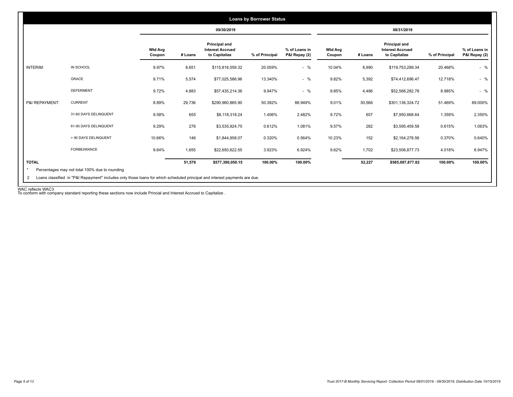|                 |                       |                          |         | 09/30/2019                                                |                |                                |                          |         | 08/31/2019                                                |                |                                |
|-----------------|-----------------------|--------------------------|---------|-----------------------------------------------------------|----------------|--------------------------------|--------------------------|---------|-----------------------------------------------------------|----------------|--------------------------------|
|                 |                       | <b>Wtd Avg</b><br>Coupon | # Loans | Principal and<br><b>Interest Accrued</b><br>to Capitalize | % of Principal | % of Loans in<br>P&I Repay (2) | <b>Wtd Avg</b><br>Coupon | # Loans | Principal and<br><b>Interest Accrued</b><br>to Capitalize | % of Principal | % of Loans in<br>P&I Repay (2) |
| <b>INTERIM:</b> | IN SCHOOL             | 9.97%                    | 8,651   | \$115,818,559.32                                          | 20.059%        | $-$ %                          | 10.04%                   | 8,990   | \$119,753,289.34                                          | 20.468%        | $-$ %                          |
|                 | GRACE                 | 9.71%                    | 5,574   | \$77,025,586.96                                           | 13.340%        | $-$ %                          | 9.82%                    | 5,392   | \$74,412,696.47                                           | 12.718%        | $-$ %                          |
|                 | <b>DEFERMENT</b>      | 9.72%                    | 4,883   | \$57,435,214.36                                           | 9.947%         | $-$ %                          | 9.85%                    | 4,486   | \$52,568,282.78                                           | 8.985%         | $-$ %                          |
| P&I REPAYMENT:  | <b>CURRENT</b>        | 8.89%                    | 29,736  | \$290,960,865.90                                          | 50.392%        | 88.949%                        | 9.01%                    | 30,566  | \$301,136,324.72                                          | 51.469%        | 89.000%                        |
|                 | 31-60 DAYS DELINQUENT | 9.58%                    | 655     | \$8,118,318.24                                            | 1.406%         | 2.482%                         | 9.72%                    | 657     | \$7,950,668.64                                            | 1.359%         | 2.350%                         |
|                 | 61-90 DAYS DELINQUENT | 9.29%                    | 276     | \$3,535,924.75                                            | 0.612%         | 1.081%                         | 9.57%                    | 282     | \$3,595,459.58                                            | 0.615%         | 1.063%                         |
|                 | > 90 DAYS DELINQUENT  | 10.66%                   | 146     | \$1,844,958.07                                            | 0.320%         | 0.564%                         | 10.23%                   | 152     | \$2,164,278.56                                            | 0.370%         | 0.640%                         |
|                 | FORBEARANCE           | 9.64%                    | 1,655   | \$22,650,622.55                                           | 3.923%         | 6.924%                         | 9.62%                    | 1,702   | \$23,506,877.73                                           | 4.018%         | 6.947%                         |
| <b>TOTAL</b>    |                       |                          | 51,576  | \$577,390,050.15                                          | 100.00%        | 100.00%                        |                          | 52,227  | \$585,087,877.82                                          | 100.00%        | 100.00%                        |

WAC reflects WAC3 To conform with company standard reporting these sections now include Princial and Interest Accrued to Capitalize .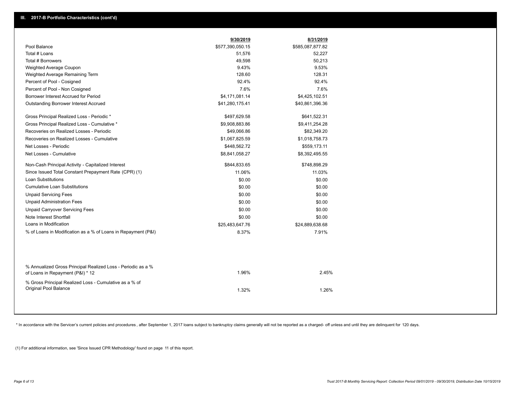|                                                                                                  | 9/30/2019        | 8/31/2019        |
|--------------------------------------------------------------------------------------------------|------------------|------------------|
| Pool Balance                                                                                     | \$577,390,050.15 | \$585,087,877.82 |
| Total # Loans                                                                                    | 51,576           | 52,227           |
| Total # Borrowers                                                                                | 49,598           | 50,213           |
| Weighted Average Coupon                                                                          | 9.43%            | 9.53%            |
| Weighted Average Remaining Term                                                                  | 128.60           | 128.31           |
| Percent of Pool - Cosigned                                                                       | 92.4%            | 92.4%            |
| Percent of Pool - Non Cosigned                                                                   | 7.6%             | 7.6%             |
| Borrower Interest Accrued for Period                                                             | \$4,171,081.14   | \$4,425,102.51   |
| Outstanding Borrower Interest Accrued                                                            | \$41,280,175.41  | \$40,861,396.36  |
| Gross Principal Realized Loss - Periodic *                                                       | \$497,629.58     | \$641,522.31     |
| Gross Principal Realized Loss - Cumulative *                                                     | \$9,908,883.86   | \$9,411,254.28   |
| Recoveries on Realized Losses - Periodic                                                         | \$49,066.86      | \$82,349.20      |
| Recoveries on Realized Losses - Cumulative                                                       | \$1,067,825.59   | \$1,018,758.73   |
| Net Losses - Periodic                                                                            | \$448,562.72     | \$559,173.11     |
| Net Losses - Cumulative                                                                          | \$8,841,058.27   | \$8,392,495.55   |
| Non-Cash Principal Activity - Capitalized Interest                                               | \$844,833.65     | \$748,898.29     |
| Since Issued Total Constant Prepayment Rate (CPR) (1)                                            | 11.06%           | 11.03%           |
| Loan Substitutions                                                                               | \$0.00           | \$0.00           |
| <b>Cumulative Loan Substitutions</b>                                                             | \$0.00           | \$0.00           |
| <b>Unpaid Servicing Fees</b>                                                                     | \$0.00           | \$0.00           |
| <b>Unpaid Administration Fees</b>                                                                | \$0.00           | \$0.00           |
| <b>Unpaid Carryover Servicing Fees</b>                                                           | \$0.00           | \$0.00           |
| Note Interest Shortfall                                                                          | \$0.00           | \$0.00           |
| Loans in Modification                                                                            | \$25,483,647.76  | \$24,889,638.68  |
| % of Loans in Modification as a % of Loans in Repayment (P&I)                                    | 8.37%            | 7.91%            |
|                                                                                                  |                  |                  |
| % Annualized Gross Principal Realized Loss - Periodic as a %<br>of Loans in Repayment (P&I) * 12 | 1.96%            | 2.45%            |
| % Gross Principal Realized Loss - Cumulative as a % of<br><b>Original Pool Balance</b>           | 1.32%            | 1.26%            |

\* In accordance with the Servicer's current policies and procedures, after September 1, 2017 loans subject to bankruptcy claims generally will not be reported as a charged- off unless and until they are delinquent for 120

(1) For additional information, see 'Since Issued CPR Methodology' found on page 11 of this report.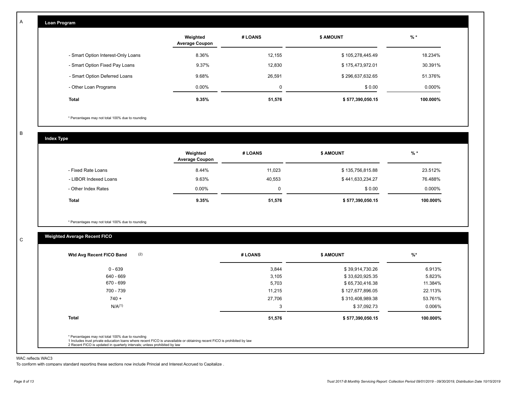| Loan Program                       |                                   |         |                  |          |
|------------------------------------|-----------------------------------|---------|------------------|----------|
|                                    | Weighted<br><b>Average Coupon</b> | # LOANS | <b>\$ AMOUNT</b> | $%$ *    |
| - Smart Option Interest-Only Loans | 8.36%                             | 12,155  | \$105,278,445.49 | 18.234%  |
| - Smart Option Fixed Pay Loans     | 9.37%                             | 12,830  | \$175,473,972.01 | 30.391%  |
| - Smart Option Deferred Loans      | 9.68%                             | 26,591  | \$296,637,632.65 | 51.376%  |
| - Other Loan Programs              | $0.00\%$                          | 0       | \$0.00           | 0.000%   |
| <b>Total</b>                       | 9.35%                             | 51,576  | \$577,390,050.15 | 100.000% |

\* Percentages may not total 100% due to rounding

B

C

A

**Index Type**

|                       | Weighted<br><b>Average Coupon</b> | # LOANS | <b>\$ AMOUNT</b> | % *      |
|-----------------------|-----------------------------------|---------|------------------|----------|
| - Fixed Rate Loans    | 8.44%                             | 11,023  | \$135,756,815.88 | 23.512%  |
| - LIBOR Indexed Loans | 9.63%                             | 40,553  | \$441,633,234.27 | 76.488%  |
| - Other Index Rates   | $0.00\%$                          | 0       | \$0.00           | 0.000%   |
| <b>Total</b>          | 9.35%                             | 51,576  | \$577,390,050.15 | 100.000% |

\* Percentages may not total 100% due to rounding

## **Weighted Average Recent FICO**

| (2)<br>Wtd Avg Recent FICO Band | # LOANS | <b>\$ AMOUNT</b> | $\frac{9}{6}$ * |
|---------------------------------|---------|------------------|-----------------|
| $0 - 639$                       | 3,844   | \$39,914,730.26  | 6.913%          |
| 640 - 669                       | 3,105   | \$33,620,925.35  | 5.823%          |
| 670 - 699                       | 5,703   | \$65,730,416.38  | 11.384%         |
| 700 - 739                       | 11,215  | \$127,677,896.05 | 22.113%         |
| $740 +$                         | 27,706  | \$310,408,989.38 | 53.761%         |
| N/A <sup>(1)</sup>              | 3       | \$37,092.73      | 0.006%          |
| <b>Total</b>                    | 51,576  | \$577,390,050.15 | 100.000%        |

#### WAC reflects WAC3

To conform with company standard reporting these sections now include Princial and Interest Accrued to Capitalize .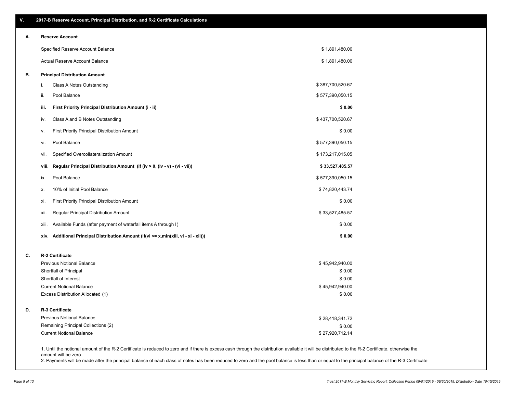\$ 27,920,712.14

| А. | <b>Reserve Account</b>                                                               |                  |  |
|----|--------------------------------------------------------------------------------------|------------------|--|
|    | Specified Reserve Account Balance                                                    | \$1,891,480.00   |  |
|    | Actual Reserve Account Balance                                                       | \$1,891,480.00   |  |
| В. | <b>Principal Distribution Amount</b>                                                 |                  |  |
|    | Class A Notes Outstanding<br>i.                                                      | \$387,700,520.67 |  |
|    | ii.<br>Pool Balance                                                                  | \$577,390,050.15 |  |
|    | First Priority Principal Distribution Amount (i - ii)<br>iii.                        | \$0.00           |  |
|    | Class A and B Notes Outstanding<br>iv.                                               | \$437,700,520.67 |  |
|    | First Priority Principal Distribution Amount<br>٧.                                   | \$0.00           |  |
|    | Pool Balance<br>vi.                                                                  | \$577,390,050.15 |  |
|    | Specified Overcollateralization Amount<br>vii.                                       | \$173,217,015.05 |  |
|    | Regular Principal Distribution Amount (if (iv > 0, (iv - v) - (vi - vii))<br>viii.   | \$33,527,485.57  |  |
|    | Pool Balance<br>ix.                                                                  | \$577,390,050.15 |  |
|    | 10% of Initial Pool Balance<br>Х.                                                    | \$74,820,443.74  |  |
|    | First Priority Principal Distribution Amount<br>xi.                                  | \$0.00           |  |
|    | Regular Principal Distribution Amount<br>xii.                                        | \$33,527,485.57  |  |
|    | Available Funds (after payment of waterfall items A through I)<br>xiii.              | \$0.00           |  |
|    | xiv. Additional Principal Distribution Amount (if(vi <= x,min(xiii, vi - xi - xii))) | \$0.00           |  |
| C. | <b>R-2 Certificate</b>                                                               |                  |  |
|    | <b>Previous Notional Balance</b>                                                     | \$45,942,940.00  |  |
|    | Shortfall of Principal                                                               | \$0.00           |  |
|    | Shortfall of Interest                                                                | \$0.00           |  |
|    | <b>Current Notional Balance</b>                                                      | \$45,942,940.00  |  |
|    | Excess Distribution Allocated (1)                                                    | \$0.00           |  |
| D. | R-3 Certificate                                                                      |                  |  |
|    | <b>Previous Notional Balance</b>                                                     | \$28,418,341.72  |  |
|    | Remaining Principal Collections (2)                                                  | \$0.00           |  |

1. Until the notional amount of the R-2 Certificate is reduced to zero and if there is excess cash through the distribution available it will be distributed to the R-2 Certificate, otherwise the amount will be zero

2. Payments will be made after the principal balance of each class of notes has been reduced to zero and the pool balance is less than or equal to the principal balance of the R-3 Certificate

Current Notional Balance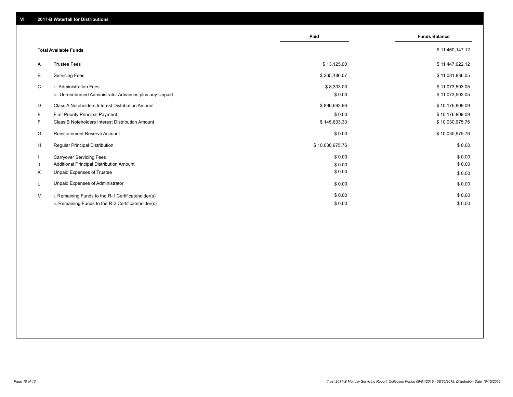|    |                                                         | Paid            | <b>Funds Balance</b> |
|----|---------------------------------------------------------|-----------------|----------------------|
|    | <b>Total Available Funds</b>                            |                 | \$11,460,147.12      |
| A  | <b>Trustee Fees</b>                                     | \$13,125.00     | \$11,447,022.12      |
| В  | <b>Servicing Fees</b>                                   | \$365,186.07    | \$11,081,836.05      |
| C  | i. Administration Fees                                  | \$8,333.00      | \$11,073,503.05      |
|    | ii. Unreimbursed Administrator Advances plus any Unpaid | \$0.00          | \$11,073,503.05      |
| D  | Class A Noteholders Interest Distribution Amount        | \$896,693.96    | \$10,176,809.09      |
| Ε. | <b>First Priority Principal Payment</b>                 | \$0.00          | \$10,176,809.09      |
| F. | <b>Class B Noteholders Interest Distribution Amount</b> | \$145,833.33    | \$10,030,975.76      |
| G  | <b>Reinstatement Reserve Account</b>                    | \$0.00          | \$10,030,975.76      |
| H  | Regular Principal Distribution                          | \$10,030,975.76 | \$0.00               |
|    | <b>Carryover Servicing Fees</b>                         | \$0.00          | \$0.00               |
| J  | Additional Principal Distribution Amount                | \$0.00          | \$0.00               |
| K  | Unpaid Expenses of Trustee                              | \$0.00          | \$0.00               |
| L  | Unpaid Expenses of Administrator                        | \$0.00          | \$0.00               |
| M  | i. Remaining Funds to the R-1 Certificateholder(s)      | \$0.00          | \$0.00               |
|    | ii. Remaining Funds to the R-2 Certificateholder(s)     | \$0.00          | \$0.00               |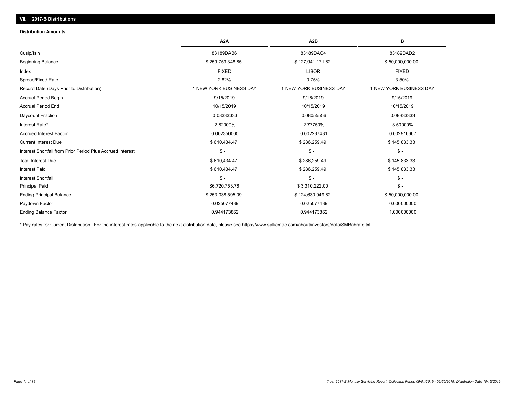# **VII. 2017-B Distributions**

#### **Distribution Amounts**

|                                                            | A <sub>2</sub> A        | A <sub>2</sub> B        | в                       |
|------------------------------------------------------------|-------------------------|-------------------------|-------------------------|
| Cusip/Isin                                                 | 83189DAB6               | 83189DAC4               | 83189DAD2               |
| <b>Beginning Balance</b>                                   | \$259,759,348.85        | \$127,941,171.82        | \$50,000,000.00         |
| Index                                                      | <b>FIXED</b>            | <b>LIBOR</b>            | <b>FIXED</b>            |
| Spread/Fixed Rate                                          | 2.82%                   | 0.75%                   | 3.50%                   |
| Record Date (Days Prior to Distribution)                   | 1 NEW YORK BUSINESS DAY | 1 NEW YORK BUSINESS DAY | 1 NEW YORK BUSINESS DAY |
| <b>Accrual Period Begin</b>                                | 9/15/2019               | 9/16/2019               | 9/15/2019               |
| <b>Accrual Period End</b>                                  | 10/15/2019              | 10/15/2019              | 10/15/2019              |
| Daycount Fraction                                          | 0.08333333              | 0.08055556              | 0.08333333              |
| Interest Rate*                                             | 2.82000%                | 2.77750%                | 3.50000%                |
| <b>Accrued Interest Factor</b>                             | 0.002350000             | 0.002237431             | 0.002916667             |
| <b>Current Interest Due</b>                                | \$610,434.47            | \$286,259.49            | \$145,833.33            |
| Interest Shortfall from Prior Period Plus Accrued Interest | $\mathsf{\$}$ -         | $\mathsf{\$}$ -         | $\mathsf{\$}$ -         |
| <b>Total Interest Due</b>                                  | \$610,434.47            | \$286,259.49            | \$145,833.33            |
| <b>Interest Paid</b>                                       | \$610,434.47            | \$286,259.49            | \$145,833.33            |
| <b>Interest Shortfall</b>                                  | $$ -$                   | $$ -$                   | $\mathsf{\$}$ -         |
| <b>Principal Paid</b>                                      | \$6,720,753.76          | \$3,310,222.00          | $\mathsf{\$}$ -         |
| <b>Ending Principal Balance</b>                            | \$253,038,595.09        | \$124,630,949.82        | \$50,000,000.00         |
| Paydown Factor                                             | 0.025077439             | 0.025077439             | 0.000000000             |
| <b>Ending Balance Factor</b>                               | 0.944173862             | 0.944173862             | 1.000000000             |

\* Pay rates for Current Distribution. For the interest rates applicable to the next distribution date, please see https://www.salliemae.com/about/investors/data/SMBabrate.txt.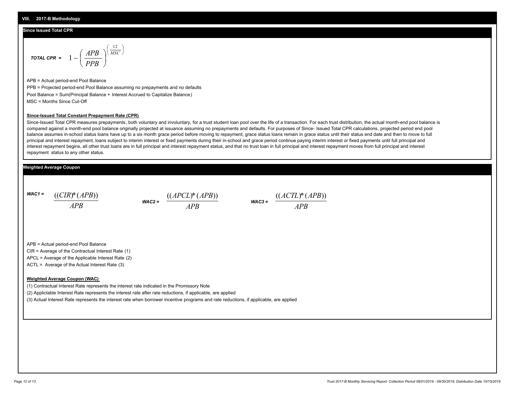## **Since Issued Total CPR**

$$
\text{total CPR} = 1 - \left(\frac{APB}{PPB}\right)^{\left(\frac{12}{MSC}\right)}
$$

APB = Actual period-end Pool Balance PPB = Projected period-end Pool Balance assuming no prepayments and no defaults Pool Balance = Sum(Principal Balance + Interest Accrued to Capitalize Balance) MSC = Months Since Cut-Off

J λ

### **Since-Issued Total Constant Prepayment Rate (CPR)**

Since-Issued Total CPR measures prepayments, both voluntary and involuntary, for a trust student loan pool over the life of a transaction. For each trust distribution, the actual month-end pool balance is compared against a month-end pool balance originally projected at issuance assuming no prepayments and defaults. For purposes of Since- Issued Total CPR calculations, projected period end pool balance assumes in-school status loans have up to a six month grace period before moving to repayment, grace status loans remain in grace status until their status end date and then to move to full principal and interest repayment, loans subject to interim interest or fixed payments during their in-school and grace period continue paying interim interest or fixed payments until full principal and interest repayment begins, all other trust loans are in full principal and interest repayment status, and that no trust loan in full principal and interest repayment moves from full principal and interest repayment status to any other status.

## **Weighted Average Coupon**

*WAC1 = APB* ((*CIR*)\*(*APB*))

$$
\text{wac2} = \frac{((APCL)^*(APB))}{APB}
$$

$$
\text{WAC3} = \frac{((ACTL)^*(APB))}{APB}
$$

APB = Actual period-end Pool Balance

CIR = Average of the Contractual Interest Rate (1)

APCL = Average of the Applicable Interest Rate (2)

ACTL = Average of the Actual Interest Rate (3)

### **Weighted Average Coupon (WAC)**

(1) Contractual Interest Rate represents the interest rate indicated in the Promissory Note

(2) Appliclable Interest Rate represents the interest rate after rate reductions, if applicable, are applied

(3) Actual Interest Rate represents the interest rate when borrower incentive programs and rate reductions, if applicable, are applied